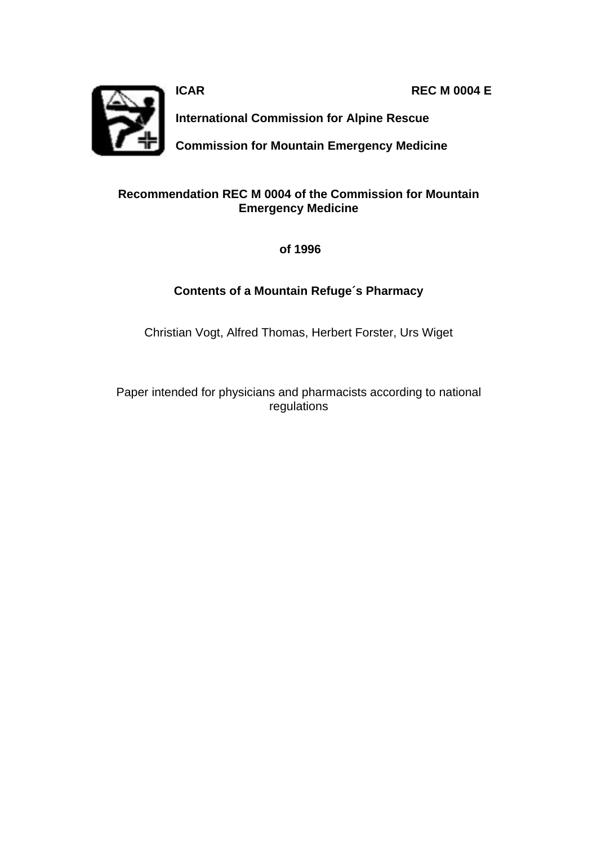**ICAR REC M 0004 E** 



**International Commission for Alpine Rescue**

**Commission for Mountain Emergency Medicine**

#### **Recommendation REC M 0004 of the Commission for Mountain Emergency Medicine**

 **of 1996**

#### **Contents of a Mountain Refuge´s Pharmacy**

Christian Vogt, Alfred Thomas, Herbert Forster, Urs Wiget

Paper intended for physicians and pharmacists according to national regulations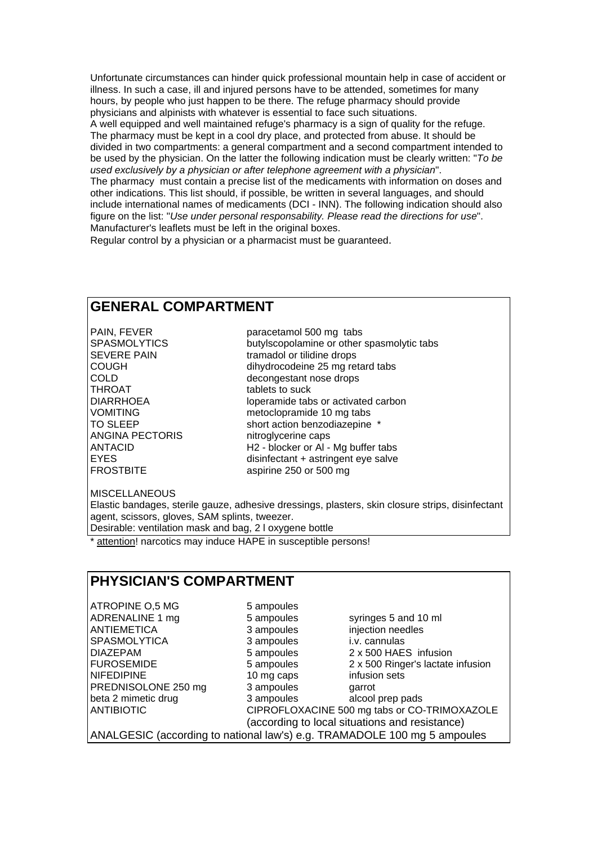Unfortunate circumstances can hinder quick professional mountain help in case of accident or illness. In such a case, ill and injured persons have to be attended, sometimes for many hours, by people who just happen to be there. The refuge pharmacy should provide physicians and alpinists with whatever is essential to face such situations. A well equipped and well maintained refuge's pharmacy is a sign of quality for the refuge. The pharmacy must be kept in a cool dry place, and protected from abuse. It should be divided in two compartments: a general compartment and a second compartment intended to be used by the physician. On the latter the following indication must be clearly written: "*To be used exclusively by a physician or after telephone agreement with a physician*". The pharmacy must contain a precise list of the medicaments with information on doses and other indications. This list should, if possible, be written in several languages, and should include international names of medicaments (DCI - INN). The following indication should also figure on the list: "*Use under personal responsability. Please read the directions for use*". Manufacturer's leaflets must be left in the original boxes.

Regular control by a physician or a pharmacist must be guaranteed.

### **GENERAL COMPARTMENT**

THROAT<br>DIARRHOEA department of tablets to suck ANGINA PECTORIS nitroglycerine caps

PAIN, FEVER paracetamol 500 mg tabs SPASMOLYTICS butylscopolamine or other spasmolytic tabs SEVERE PAIN tramadol or tilidine drops COUGH dihydrocodeine 25 mg retard tabs<br>COLD COLD<br>THROAT decongestant nose drops<br>THROAT tablets to suck loperamide tabs or activated carbon VOMITING metoclopramide 10 mg tabs TO SLEEP short action benzodiazepine \* ANTACID H2 - blocker or Al - Mg buffer tabs EYES disinfectant + astringent eye salve FROSTBITE aspirine 250 or 500 mg

**MISCELLANEOUS** 

Elastic bandages, sterile gauze, adhesive dressings, plasters, skin closure strips, disinfectant agent, scissors, gloves, SAM splints, tweezer. Desirable: ventilation mask and bag, 2 l oxygene bottle

attention! narcotics may induce HAPE in susceptible persons!

## **PHYSICIAN'S COMPARTMENT**

ATROPINE O,5 MG 5 ampoules ADRENALINE 1 mg 5 ampoules syringes 5 and 10 ml ANTIEMETICA 3 ampoules injection needles SPASMOLYTICA 3 ampoules i.v. cannulas DIAZEPAM 5 ampoules 2 x 500 HAES infusion FUROSEMIDE 5 ampoules 2 x 500 Ringer's lactate infusion NIFEDIPINE 10 mg caps infusion sets<br>
PREDNISOLONE 250 mg 3 ampoules qarrot PREDNISOLONE 250 mg beta 2 mimetic drug beta 3 ampoules beta 2 mimetic drug alcool prep pads ANTIBIOTIC CIPROFLOXACINE 500 mg tabs or CO-TRIMOXAZOLE (according to local situations and resistance) ANALGESIC (according to national law's) e.g. TRAMADOLE 100 mg 5 ampoules